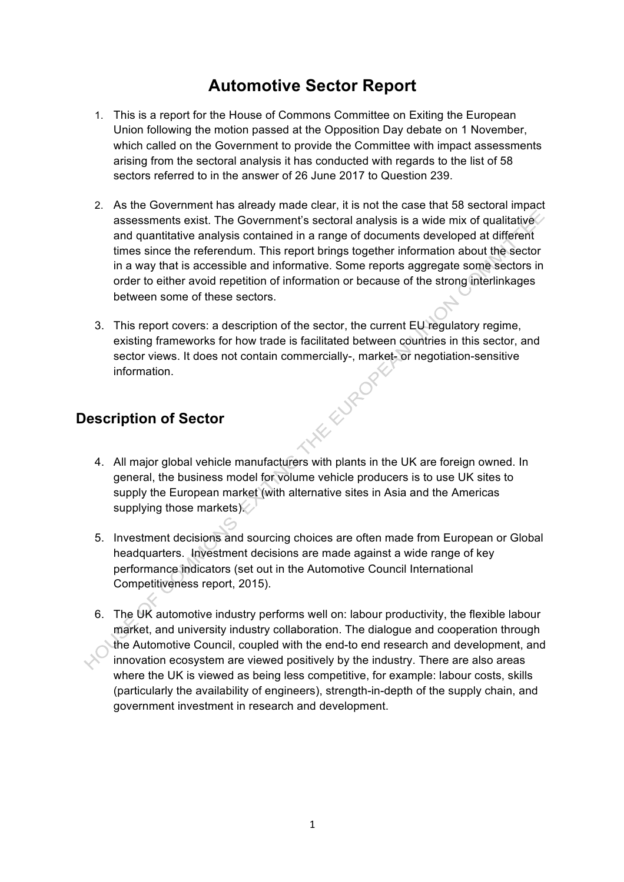# **Automotive Sector Report**

- 1. This is a report for the House of Commons Committee on Exiting the European Union following the motion passed at the Opposition Day debate on 1 November, which called on the Government to provide the Committee with impact assessments arising from the sectoral analysis it has conducted with regards to the list of 58 sectors referred to in the answer of 26 June 2017 to Question 239.
- 2. As the Government has already made clear, it is not the case that 58 sectoral impact assessments exist. The Government's sectoral analysis is a wide mix of qualitative and quantitative analysis contained in a range of documents developed at different times since the referendum. This report brings together information about the sector in a way that is accessible and informative. Some reports aggregate some sectors in order to either avoid repetition of information or because of the strong interlinkages between some of these sectors.
- 3. This report covers: a description of the sector, the current EU regulatory regime, existing frameworks for how trade is facilitated between countries in this sector, and sector views. It does not contain commercially-, market- or negotiation-sensitive<br>information.<br>**ription of Sector** information.

## **Description of Sector**

- 4. All major global vehicle manufacturers with plants in the UK are foreign owned. In general, the business model for volume vehicle producers is to use UK sites to supply the European market (with alternative sites in Asia and the Americas supplying those markets).
- 5. Investment decisions and sourcing choices are often made from European or Global headquarters. Investment decisions are made against a wide range of key performance indicators (set out in the Automotive Council International Competitiveness report, 2015).
- 6. The UK automotive industry performs well on: labour productivity, the flexible labour market, and university industry collaboration. The dialogue and cooperation through the Automotive Council, coupled with the end-to end research and development, and innovation ecosystem are viewed positively by the industry. There are also areas where the UK is viewed as being less competitive, for example: labour costs, skills (particularly the availability of engineers), strength-in-depth of the supply chain, and government investment in research and development.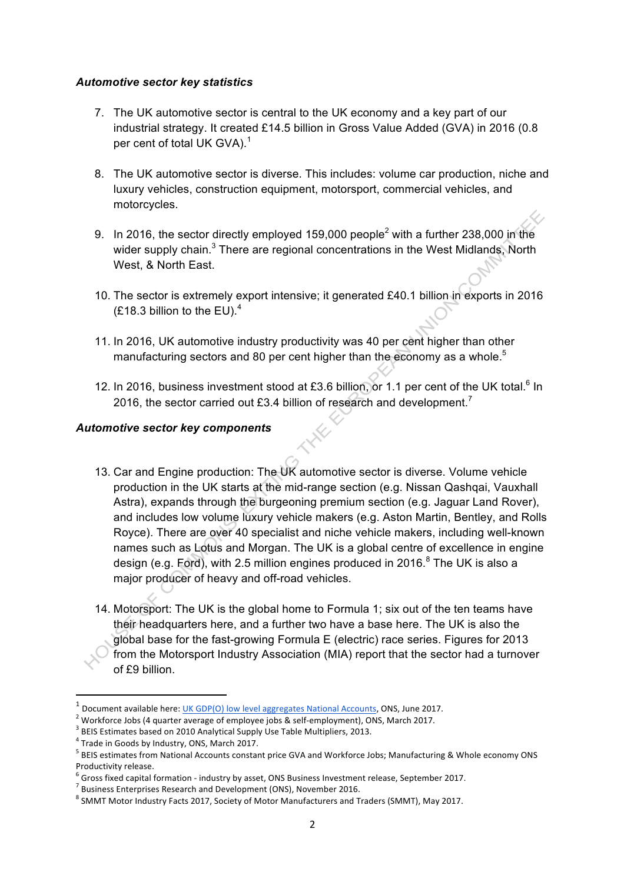## *Automotive sector key statistics*

- 7. The UK automotive sector is central to the UK economy and a key part of our industrial strategy. It created £14.5 billion in Gross Value Added (GVA) in 2016 (0.8 per cent of total UK GVA).<sup>1</sup>
- 8. The UK automotive sector is diverse. This includes: volume car production, niche and luxury vehicles, construction equipment, motorsport, commercial vehicles, and motorcycles.
- 9. In 2016, the sector directly employed 159,000 people<sup>2</sup> with a further 238,000 in the wider supply chain.<sup>3</sup> There are regional concentrations in the West Midlands, North West, & North East.
- 10. The sector is extremely export intensive; it generated £40.1 billion in exports in 2016  $(E18.3 \text{ billion to the EU}).^4$
- 11. In 2016, UK automotive industry productivity was 40 per cent higher than other manufacturing sectors and 80 per cent higher than the economy as a whole.<sup>5</sup>
- 12. In 2016, business investment stood at £3.6 billion, or 1.1 per cent of the UK total.<sup>6</sup> In 2016, the sector carried out £3.4 billion of research and development.<sup>7</sup>

## *Automotive sector key components*

- 13. Car and Engine production: The UK automotive sector is diverse. Volume vehicle production in the UK starts at the mid-range section (e.g. Nissan Qashqai, Vauxhall Astra), expands through the burgeoning premium section (e.g. Jaguar Land Rover), and includes low volume luxury vehicle makers (e.g. Aston Martin, Bentley, and Rolls Royce). There are over 40 specialist and niche vehicle makers, including well-known names such as Lotus and Morgan. The UK is a global centre of excellence in engine design (e.g. Ford), with 2.5 million engines produced in 2016. $8$  The UK is also a major producer of heavy and off-road vehicles.
- 14. Motorsport: The UK is the global home to Formula 1; six out of the ten teams have their headquarters here, and a further two have a base here. The UK is also the global base for the fast-growing Formula E (electric) race series. Figures for 2013 from the Motorsport Industry Association (MIA) report that the sector had a turnover of £9 billion.

<u> 1989 - Johann Stein, mars et al. 1989 - Anna ann an t-Anna ann an t-Anna ann an t-Anna ann an t-Anna ann an t-</u>

Document available here: UK GDP(O) low level aggregates National Accounts, ONS, June 2017.

<sup>&</sup>lt;sup>2</sup> Workforce Jobs (4 quarter average of employee jobs & self-employment), ONS, March 2017.<br><sup>3</sup> BEIS Estimates based on 2010 Analytical Supply Use Table Multipliers, 2013.<br><sup>4</sup> Trade in Goods by Industry, ONS, March 2017.

<sup>&</sup>lt;sup>5</sup> BEIS estimates from National Accounts constant price GVA and Workforce Jobs; Manufacturing & Whole economy ONS Productivity release.

 $^6$  Gross fixed capital formation - industry by asset, ONS Business Investment release, September 2017.<br><sup>7</sup> Business Enterprises Research and Development (ONS), November 2016.

 $8$  SMMT Motor Industry Facts 2017, Society of Motor Manufacturers and Traders (SMMT), May 2017.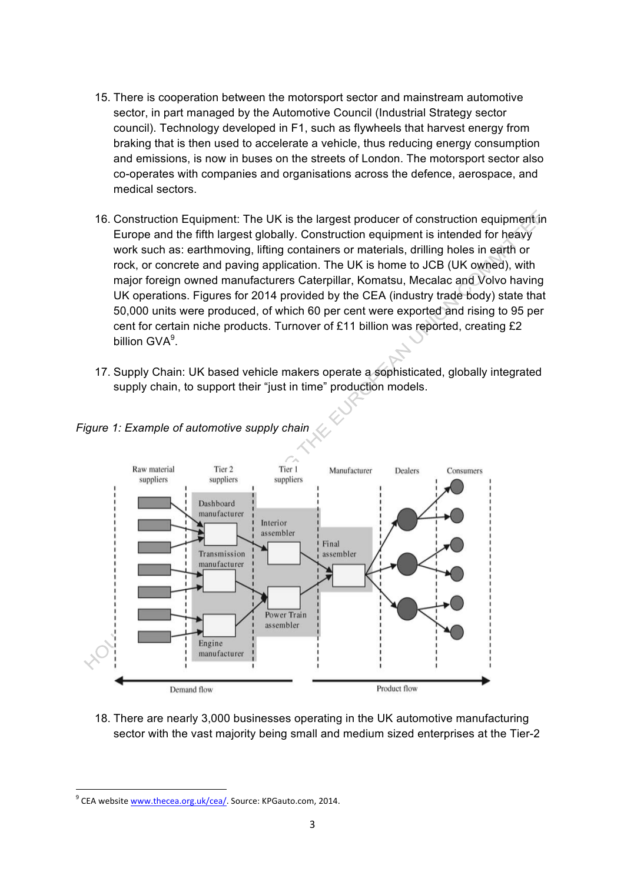- 15. There is cooperation between the motorsport sector and mainstream automotive sector, in part managed by the Automotive Council (Industrial Strategy sector council). Technology developed in F1, such as flywheels that harvest energy from braking that is then used to accelerate a vehicle, thus reducing energy consumption and emissions, is now in buses on the streets of London. The motorsport sector also co-operates with companies and organisations across the defence, aerospace, and medical sectors.
- 16. Construction Equipment: The UK is the largest producer of construction equipment in Europe and the fifth largest globally. Construction equipment is intended for heavy work such as: earthmoving, lifting containers or materials, drilling holes in earth or rock, or concrete and paving application. The UK is home to JCB (UK owned), with major foreign owned manufacturers Caterpillar, Komatsu, Mecalac and Volvo having UK operations. Figures for 2014 provided by the CEA (industry trade body) state that 50,000 units were produced, of which 60 per cent were exported and rising to 95 per cent for certain niche products. Turnover of £11 billion was reported, creating £2 billion GVA<sup>9</sup>.
- 17. Supply Chain: UK based vehicle makers operate a sophisticated, globally integrated supply chain, to support their "just in time" production models.



*Figure 1: Example of automotive supply chain*

18. There are nearly 3,000 businesses operating in the UK automotive manufacturing sector with the vast majority being small and medium sized enterprises at the Tier-2

 $9$  CEA website www.thecea.org.uk/cea/. Source: KPGauto.com, 2014.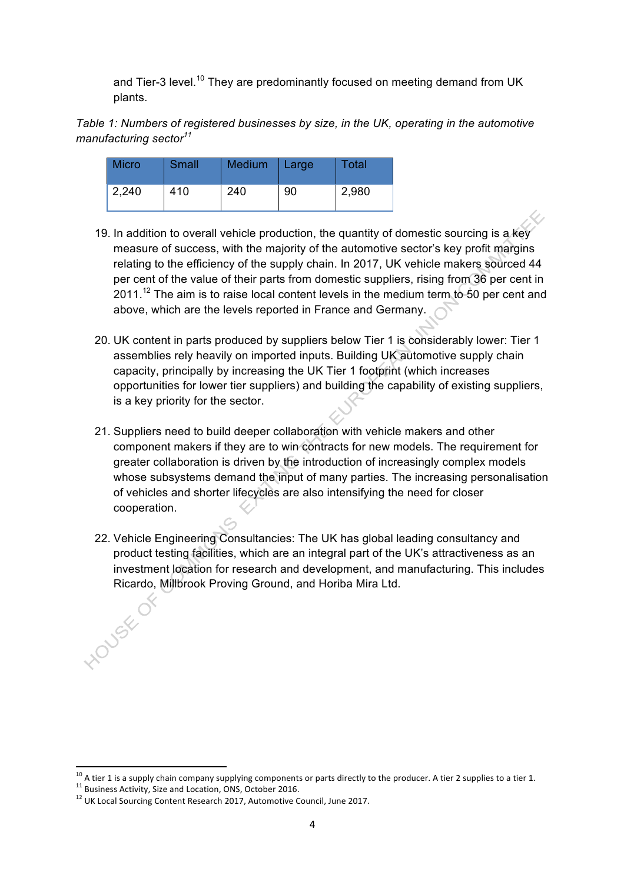and Tier-3 level.<sup>10</sup> They are predominantly focused on meeting demand from UK plants.

*Table 1: Numbers of registered businesses by size, in the UK, operating in the automotive manufacturing sector<sup>11</sup>*

| <b>Micro</b> | Small | Medium | Large | Total |
|--------------|-------|--------|-------|-------|
| 2,240        | 410   | 240    | 90    | 2,980 |

- 19. In addition to overall vehicle production, the quantity of domestic sourcing is a key measure of success, with the majority of the automotive sector's key profit margins relating to the efficiency of the supply chain. In 2017, UK vehicle makers sourced 44 per cent of the value of their parts from domestic suppliers, rising from 36 per cent in  $2011.<sup>12</sup>$  The aim is to raise local content levels in the medium term to 50 per cent and above, which are the levels reported in France and Germany.
- 20. UK content in parts produced by suppliers below Tier 1 is considerably lower: Tier 1 assemblies rely heavily on imported inputs. Building UK automotive supply chain capacity, principally by increasing the UK Tier 1 footprint (which increases opportunities for lower tier suppliers) and building the capability of existing suppliers, is a key priority for the sector.
- 21. Suppliers need to build deeper collaboration with vehicle makers and other component makers if they are to win contracts for new models. The requirement for greater collaboration is driven by the introduction of increasingly complex models whose subsystems demand the input of many parties. The increasing personalisation of vehicles and shorter lifecycles are also intensifying the need for closer cooperation.
- 22. Vehicle Engineering Consultancies: The UK has global leading consultancy and product testing facilities, which are an integral part of the UK's attractiveness as an investment location for research and development, and manufacturing. This includes Ricardo, Millbrook Proving Ground, and Horiba Mira Ltd.

<sup>&</sup>lt;sup>10</sup> A tier 1 is a supply chain company supplying components or parts directly to the producer. A tier 2 supplies to a tier 1.<br><sup>11</sup> Business Activity, Size and Location, ONS, October 2016.<br><sup>12</sup> UK Local Sourcing Content R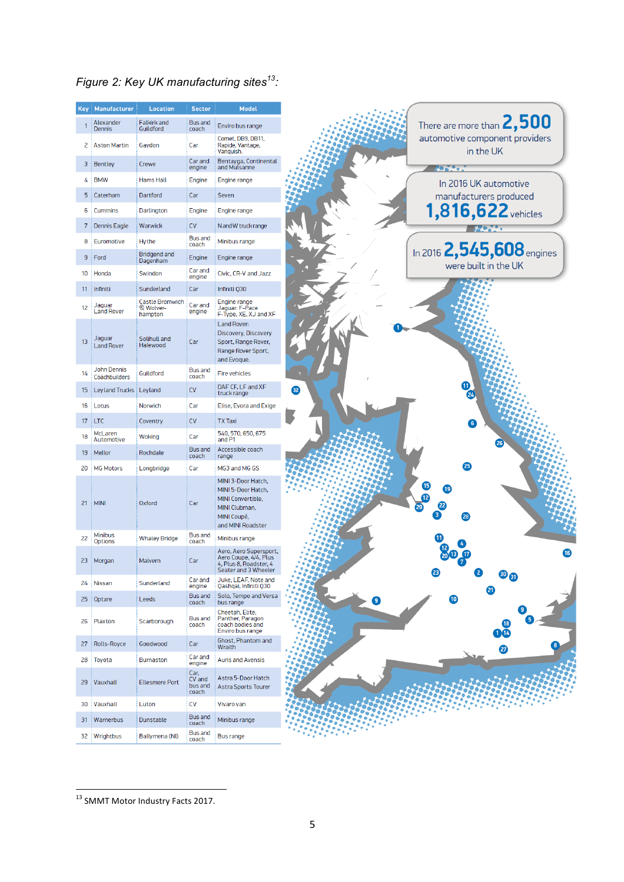# *Figure 2: Key UK manufacturing sites13:*

| <b>Key</b> | Manufacturer                        | <b>Location</b>                                           | <b>Sector</b>                                | Model                                                                                                              |
|------------|-------------------------------------|-----------------------------------------------------------|----------------------------------------------|--------------------------------------------------------------------------------------------------------------------|
|            | Alexander<br>Dennis                 | Falkirk and<br>Guildford                                  | <b>Bus and</b><br>coach                      | Enviro bus range                                                                                                   |
| 2          | <b>Aston Martin</b>                 | Gaydon                                                    | Car                                          | Comet, DB9, DB11,<br>Rapide, Vantage,<br>Vanquish.                                                                 |
| 3          | <b>Bentley</b>                      | Crewe                                                     | Car and<br>engine                            | Bentayga, Continental<br>and Mulsanne                                                                              |
| 4          | <b>BMW</b>                          | <b>Hams Hall</b>                                          | Engine                                       | Engine range                                                                                                       |
| 5          | Caterham                            | Dartford                                                  | Car                                          | Seven                                                                                                              |
| 6          | Cummins                             | Darlington                                                | Engine                                       | Engine range                                                                                                       |
| 7          | Dennis Eagle                        | Warwick                                                   | <b>CV</b>                                    | N and W truck range                                                                                                |
| 8          | Euromotive                          | Hythe                                                     | <b>Bus and</b><br>coach                      | Minibus range                                                                                                      |
| 9          | Ford                                | <b>Bridgend and</b><br>Dagenham                           | Engine                                       | Engine range                                                                                                       |
| 10         | Honda                               | Swindon                                                   | Car and<br>engine                            | Civic, CR-V and Jazz                                                                                               |
| 11         | Infiniti                            | Sunderland                                                | Car                                          | Infiniti Q30                                                                                                       |
| 12         | Jaguar<br><b>Land Rover</b>         | <b>Castle Bromwich</b><br><b>&amp; Wolver-</b><br>hampton | Car and<br>engine                            | Engine range<br>Jaguar: F-Pace<br>F-Type, XE, XJ and XF                                                            |
| 13         | Jaguar<br><b>Land Rover</b>         | Solihull and<br>Halewood                                  | Car                                          | Land Rover:<br>Discovery, Discovery<br>Sport, Range Rover,<br>Range Rover Sport,<br>and Evoque.                    |
| 14         | <b>John Dennis</b><br>Coachbuilders | Guildford                                                 | <b>Bus and</b><br>coach                      | <b>Fire vehicles</b>                                                                                               |
| 15         | Leyland Trucks   Leyland            |                                                           | <b>CV</b>                                    | DAF CF, LF and XF<br>truck range                                                                                   |
| 16         | Lotus                               | Norwich                                                   | Car                                          | Elise, Evora and Exige                                                                                             |
| 17         | <b>LTC</b>                          | Coventry                                                  | <b>CV</b>                                    | <b>TX Taxi</b>                                                                                                     |
| 18         | McLaren<br>Automotive               | Woking                                                    | Car                                          | 540, 570, 650, 675<br>and P1                                                                                       |
| 19         | Mellor                              | Rochdale                                                  | <b>Bus and</b>                               | Accessible coach                                                                                                   |
| 20         | <b>MG Motors</b>                    | Longbridge                                                | coach<br>Car                                 | range<br>MG3 and MG GS                                                                                             |
| 21         | <b>MINI</b>                         | <b>Oxford</b>                                             | Car                                          | MINI 3-Door Hatch,<br>MINI 5-Door Hatch,<br>MINI Convertible,<br>MINI Clubman,<br>MINI Coupé.<br>and MINI Roadster |
| 22         | <b>Minibus</b><br><b>Options</b>    | <b>Whaley Bridge</b>                                      | <b>Bus and</b><br>coach                      | Minibus range                                                                                                      |
| 23         | Morgan                              | Malvern                                                   | Car                                          | Aero, Aero Supersport,<br>Aero Coupe, 4/4, Plus<br>4, Plus 8, Roadster, 4<br>Seater and 3 Wheeler                  |
| 24         | Nissan                              | Sunderland                                                | Car and<br>engine                            | Juke, LEAF, Note and<br>Qashqai, Infiniti Q30                                                                      |
| 25         | Optare                              | Leeds                                                     | <b>Bus and</b><br>coach                      | Solo, Tempo and Versa<br>bus range                                                                                 |
| 26         | Plaxton                             | Scarborough                                               | <b>Bus and</b><br>coach                      | Cheetah, Elite,<br>Panther, Paragon<br>coach bodies and<br>Enviro bus range                                        |
| 27         | Rolls-Royce                         | Goodwood                                                  | Car                                          | Ghost, Phantom and<br>Wraith                                                                                       |
| 28         | Toyota                              | <b>Burnaston</b>                                          | Car and                                      | <b>Auris and Avensis</b>                                                                                           |
| 29         | Vauxhall                            | <b>Ellesmere Port</b>                                     | engine<br>Car,<br>CV and<br>bus and<br>coach | Astra 5-Door Hatch<br><b>Astra Sports Tourer</b>                                                                   |
| 30         | Vauxhall                            | Luton                                                     | <b>CV</b>                                    | Vivaro van                                                                                                         |
| 31         | Warnerbus                           | Dunstable                                                 | <b>Bus and</b><br>coach                      | Minibus range                                                                                                      |
| 32         | Wrightbus                           | Ballymena (NI)                                            | <b>Bus and</b><br>coach                      | Bus range                                                                                                          |

<sup>13</sup> SMMT Motor Industry Facts 2017.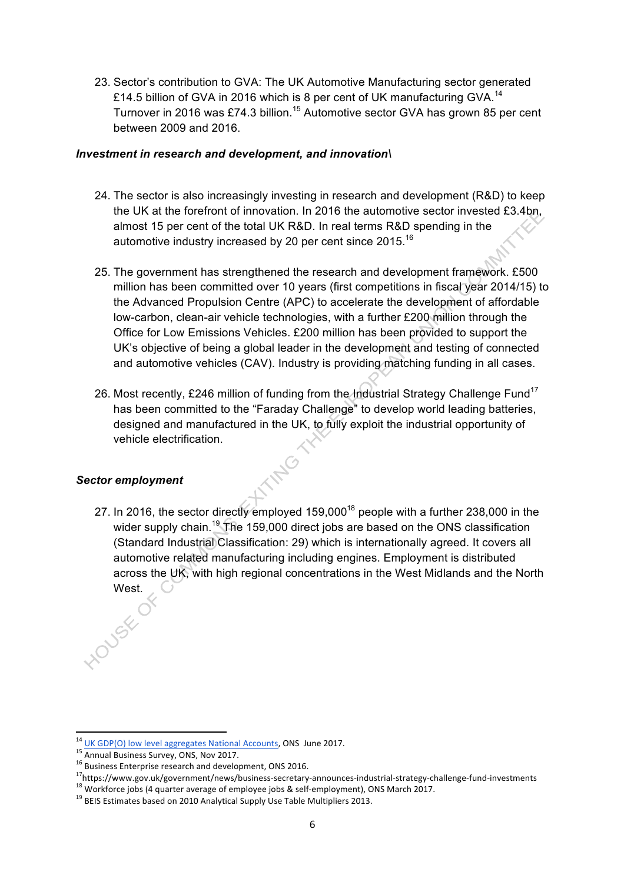23. Sector's contribution to GVA: The UK Automotive Manufacturing sector generated £14.5 billion of GVA in 2016 which is 8 per cent of UK manufacturing GVA.<sup>14</sup> Turnover in 2016 was £74.3 billion.<sup>15</sup> Automotive sector GVA has grown 85 per cent between 2009 and 2016.

#### *Investment in research and development, and innovation\*

- 24. The sector is also increasingly investing in research and development (R&D) to keep the UK at the forefront of innovation. In 2016 the automotive sector invested £3.4bn, almost 15 per cent of the total UK R&D. In real terms R&D spending in the automotive industry increased by 20 per cent since 2015.16
- 25. The government has strengthened the research and development framework. £500 million has been committed over 10 years (first competitions in fiscal year 2014/15) to the Advanced Propulsion Centre (APC) to accelerate the development of affordable low-carbon, clean-air vehicle technologies, with a further £200 million through the Office for Low Emissions Vehicles. £200 million has been provided to support the UK's objective of being a global leader in the development and testing of connected and automotive vehicles (CAV). Industry is providing matching funding in all cases.
- 26. Most recently, £246 million of funding from the Industrial Strategy Challenge Fund<sup>17</sup> has been committed to the "Faraday Challenge" to develop world leading batteries, designed and manufactured in the UK, to fully exploit the industrial opportunity of vehicle electrification.

## *Sector employment*

27. In 2016, the sector directly employed 159,000<sup>18</sup> people with a further 238,000 in the wider supply chain.<sup>19</sup> The 159,000 direct jobs are based on the ONS classification (Standard Industrial Classification: 29) which is internationally agreed. It covers all automotive related manufacturing including engines. Employment is distributed across the UK, with high regional concentrations in the West Midlands and the North West.

<sup>&</sup>lt;sup>14</sup> UK GDP(O) low level aggregates National Accounts, ONS June 2017.<br>
<sup>15</sup> Annual Business Survey, ONS, Nov 2017.<br>
<sup>16</sup> Business Enterprise research and development, ONS 2016.<br>
<sup>17</sup>https://www.gov.uk/government/news/busi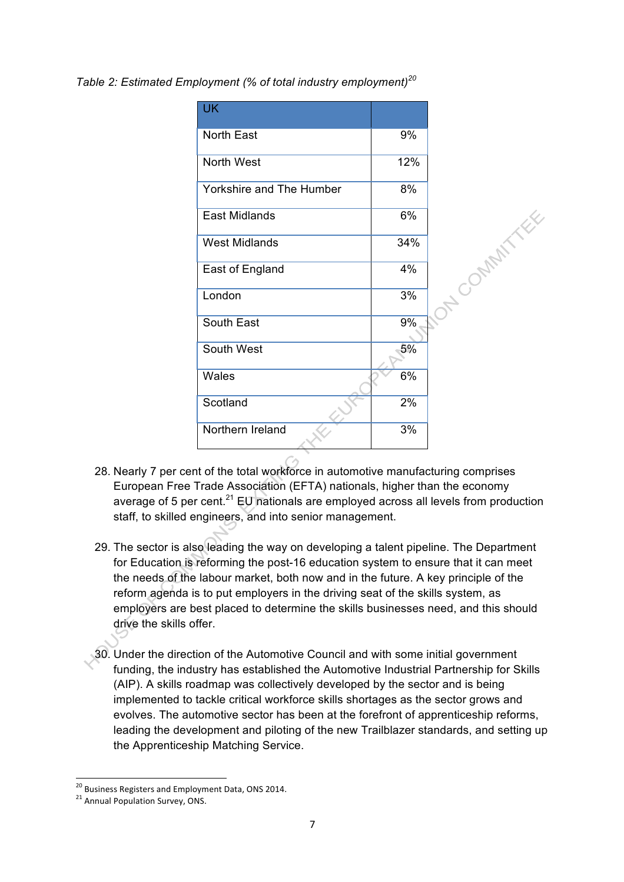*Table 2: Estimated Employment (% of total industry employment)<sup>20</sup>*

| <b>UK</b>                |     |  |
|--------------------------|-----|--|
| North East               | 9%  |  |
| North West               | 12% |  |
| Yorkshire and The Humber | 8%  |  |
| <b>East Midlands</b>     | 6%  |  |
| <b>West Midlands</b>     | 34% |  |
| East of England          | 4%  |  |
| London                   | 3%  |  |
| South East               | 9%  |  |
| South West               | 5%  |  |
| Wales                    | 6%  |  |
| Scotland                 | 2%  |  |
| Northern Ireland         | 3%  |  |

- 28. Nearly 7 per cent of the total workforce in automotive manufacturing comprises European Free Trade Association (EFTA) nationals, higher than the economy average of 5 per cent.<sup>21</sup> EU nationals are employed across all levels from production staff, to skilled engineers, and into senior management.
- 29. The sector is also leading the way on developing a talent pipeline. The Department for Education is reforming the post-16 education system to ensure that it can meet the needs of the labour market, both now and in the future. A key principle of the reform agenda is to put employers in the driving seat of the skills system, as employers are best placed to determine the skills businesses need, and this should drive the skills offer.
- 30. Under the direction of the Automotive Council and with some initial government funding, the industry has established the Automotive Industrial Partnership for Skills (AIP). A skills roadmap was collectively developed by the sector and is being implemented to tackle critical workforce skills shortages as the sector grows and evolves. The automotive sector has been at the forefront of apprenticeship reforms, leading the development and piloting of the new Trailblazer standards, and setting up the Apprenticeship Matching Service.

<sup>&</sup>lt;sup>20</sup> Business Registers and Employment Data, ONS 2014.<br><sup>21</sup> Annual Population Survey, ONS.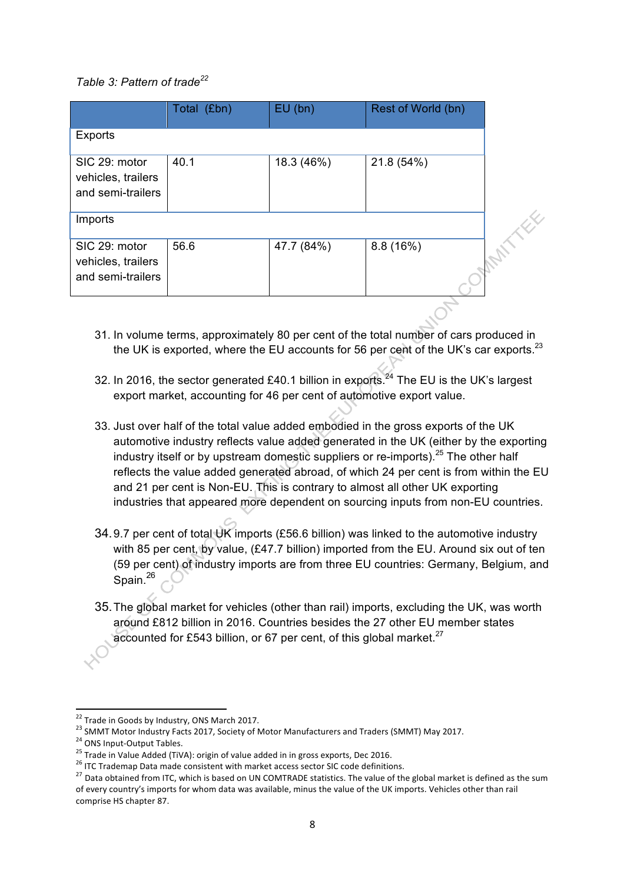## *Table 3: Pattern of trade<sup>22</sup>*

|                                                          | Total (£bn) | EU(bn)     | Rest of World (bn) |
|----------------------------------------------------------|-------------|------------|--------------------|
| <b>Exports</b>                                           |             |            |                    |
| SIC 29: motor<br>vehicles, trailers<br>and semi-trailers | 40.1        | 18.3 (46%) | 21.8 (54%)         |
| Imports                                                  |             |            |                    |
| SIC 29: motor<br>vehicles, trailers<br>and semi-trailers | 56.6        | 47.7 (84%) | 8.8(16%)           |

- 31. In volume terms, approximately 80 per cent of the total number of cars produced in the UK is exported, where the EU accounts for 56 per cent of the UK's car exports. $^{23}$
- 32. In 2016, the sector generated £40.1 billion in exports.<sup>24</sup> The EU is the UK's largest export market, accounting for 46 per cent of automotive export value.
- 33. Just over half of the total value added embodied in the gross exports of the UK automotive industry reflects value added generated in the UK (either by the exporting industry itself or by upstream domestic suppliers or re-imports).<sup>25</sup> The other half reflects the value added generated abroad, of which 24 per cent is from within the EU and 21 per cent is Non-EU. This is contrary to almost all other UK exporting industries that appeared more dependent on sourcing inputs from non-EU countries.
- 34.9.7 per cent of total UK imports (£56.6 billion) was linked to the automotive industry with 85 per cent, by value, (£47.7 billion) imported from the EU. Around six out of ten (59 per cent) of industry imports are from three EU countries: Germany, Belgium, and Spain.<sup>26</sup>
- 35.The global market for vehicles (other than rail) imports, excluding the UK, was worth around £812 billion in 2016. Countries besides the 27 other EU member states accounted for £543 billion, or 67 per cent, of this global market. $27$

<sup>&</sup>lt;sup>22</sup> Trade in Goods by Industry, ONS March 2017.<br><sup>23</sup> SMMT Motor Industry Facts 2017, Society of Motor Manufacturers and Traders (SMMT) May 2017.<br><sup>24</sup> ONS Input-Output Tables.<br><sup>25</sup> Trade in Value Added (TiVA): origin of v of every country's imports for whom data was available, minus the value of the UK imports. Vehicles other than rail comprise HS chapter 87.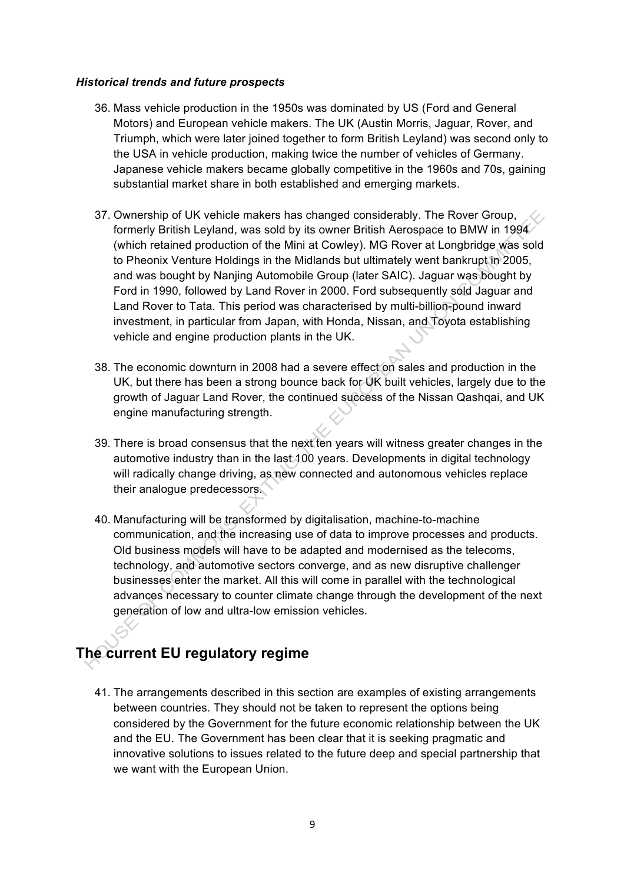#### *Historical trends and future prospects*

- 36. Mass vehicle production in the 1950s was dominated by US (Ford and General Motors) and European vehicle makers. The UK (Austin Morris, Jaguar, Rover, and Triumph, which were later joined together to form British Leyland) was second only to the USA in vehicle production, making twice the number of vehicles of Germany. Japanese vehicle makers became globally competitive in the 1960s and 70s, gaining substantial market share in both established and emerging markets.
- 37. Ownership of UK vehicle makers has changed considerably. The Rover Group, formerly British Leyland, was sold by its owner British Aerospace to BMW in 1994 (which retained production of the Mini at Cowley). MG Rover at Longbridge was sold to Pheonix Venture Holdings in the Midlands but ultimately went bankrupt in 2005, and was bought by Nanjing Automobile Group (later SAIC). Jaguar was bought by Ford in 1990, followed by Land Rover in 2000. Ford subsequently sold Jaguar and Land Rover to Tata. This period was characterised by multi-billion-pound inward investment, in particular from Japan, with Honda, Nissan, and Toyota establishing vehicle and engine production plants in the UK.
- 38. The economic downturn in 2008 had a severe effect on sales and production in the UK, but there has been a strong bounce back for UK built vehicles, largely due to the growth of Jaguar Land Rover, the continued success of the Nissan Qashqai, and UK engine manufacturing strength.
- 39. There is broad consensus that the next ten years will witness greater changes in the automotive industry than in the last 100 years. Developments in digital technology will radically change driving, as new connected and autonomous vehicles replace their analogue predecessors.
- 40. Manufacturing will be transformed by digitalisation, machine-to-machine communication, and the increasing use of data to improve processes and products. Old business models will have to be adapted and modernised as the telecoms, technology, and automotive sectors converge, and as new disruptive challenger businesses enter the market. All this will come in parallel with the technological advances necessary to counter climate change through the development of the next generation of low and ultra-low emission vehicles.

# **The current EU regulatory regime**

41. The arrangements described in this section are examples of existing arrangements between countries. They should not be taken to represent the options being considered by the Government for the future economic relationship between the UK and the EU. The Government has been clear that it is seeking pragmatic and innovative solutions to issues related to the future deep and special partnership that we want with the European Union.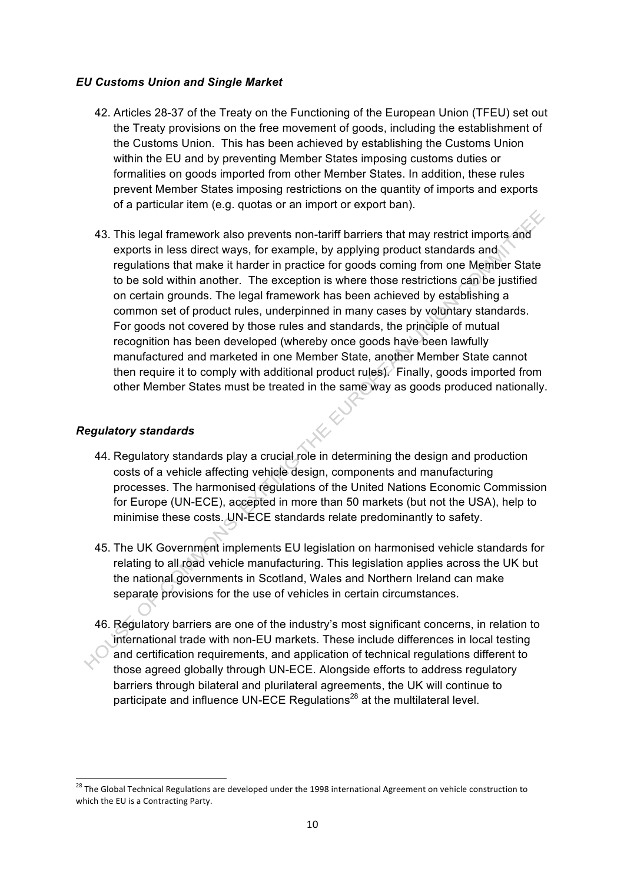## *EU Customs Union and Single Market*

- 42. Articles 28-37 of the Treaty on the Functioning of the European Union (TFEU) set out the Treaty provisions on the free movement of goods, including the establishment of the Customs Union. This has been achieved by establishing the Customs Union within the EU and by preventing Member States imposing customs duties or formalities on goods imported from other Member States. In addition, these rules prevent Member States imposing restrictions on the quantity of imports and exports of a particular item (e.g. quotas or an import or export ban).
- 43. This legal framework also prevents non-tariff barriers that may restrict imports and exports in less direct ways, for example, by applying product standards and regulations that make it harder in practice for goods coming from one Member State to be sold within another. The exception is where those restrictions can be justified on certain grounds. The legal framework has been achieved by establishing a common set of product rules, underpinned in many cases by voluntary standards. For goods not covered by those rules and standards, the principle of mutual recognition has been developed (whereby once goods have been lawfully manufactured and marketed in one Member State, another Member State cannot then require it to comply with additional product rules). Finally, goods imported from other Member States must be treated in the same way as goods produced nationally.

## *Regulatory standards*

- 44. Regulatory standards play a crucial role in determining the design and production costs of a vehicle affecting vehicle design, components and manufacturing processes. The harmonised regulations of the United Nations Economic Commission for Europe (UN-ECE), accepted in more than 50 markets (but not the USA), help to minimise these costs. UN-ECE standards relate predominantly to safety.
- 45. The UK Government implements EU legislation on harmonised vehicle standards for relating to all road vehicle manufacturing. This legislation applies across the UK but the national governments in Scotland, Wales and Northern Ireland can make separate provisions for the use of vehicles in certain circumstances.
- 46. Regulatory barriers are one of the industry's most significant concerns, in relation to international trade with non-EU markets. These include differences in local testing and certification requirements, and application of technical regulations different to those agreed globally through UN-ECE. Alongside efforts to address regulatory barriers through bilateral and plurilateral agreements, the UK will continue to participate and influence UN-ECE Regulations<sup>28</sup> at the multilateral level.

<sup>&</sup>lt;sup>28</sup> The Global Technical Regulations are developed under the 1998 international Agreement on vehicle construction to which the EU is a Contracting Party.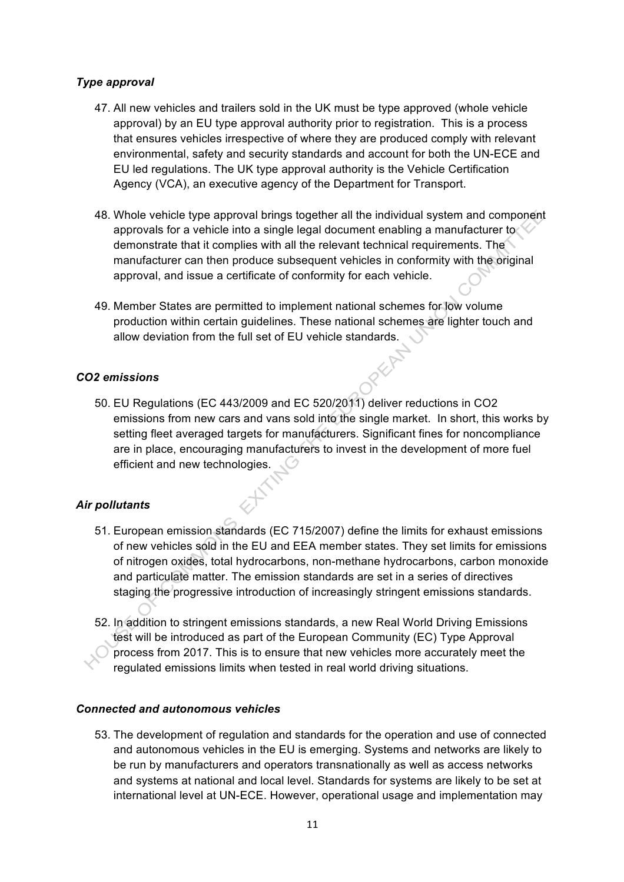## *Type approval*

- 47. All new vehicles and trailers sold in the UK must be type approved (whole vehicle approval) by an EU type approval authority prior to registration. This is a process that ensures vehicles irrespective of where they are produced comply with relevant environmental, safety and security standards and account for both the UN-ECE and EU led regulations. The UK type approval authority is the Vehicle Certification Agency (VCA), an executive agency of the Department for Transport.
- 48. Whole vehicle type approval brings together all the individual system and component approvals for a vehicle into a single legal document enabling a manufacturer to demonstrate that it complies with all the relevant technical requirements. The manufacturer can then produce subsequent vehicles in conformity with the original approval, and issue a certificate of conformity for each vehicle.
- 49. Member States are permitted to implement national schemes for low volume production within certain guidelines. These national schemes are lighter touch and allow deviation from the full set of EU vehicle standards.<br>missions

## *CO2 emissions*

50. EU Regulations (EC 443/2009 and EC 520/2011) deliver reductions in CO2 emissions from new cars and vans sold into the single market. In short, this works by setting fleet averaged targets for manufacturers. Significant fines for noncompliance are in place, encouraging manufacturers to invest in the development of more fuel efficient and new technologies.

## *Air pollutants*

- 51. European emission standards (EC 715/2007) define the limits for exhaust emissions of new vehicles sold in the EU and EEA member states. They set limits for emissions of nitrogen oxides, total hydrocarbons, non-methane hydrocarbons, carbon monoxide and particulate matter. The emission standards are set in a series of directives staging the progressive introduction of increasingly stringent emissions standards.
- 52. In addition to stringent emissions standards, a new Real World Driving Emissions test will be introduced as part of the European Community (EC) Type Approval process from 2017. This is to ensure that new vehicles more accurately meet the regulated emissions limits when tested in real world driving situations.

## *Connected and autonomous vehicles*

53. The development of regulation and standards for the operation and use of connected and autonomous vehicles in the EU is emerging. Systems and networks are likely to be run by manufacturers and operators transnationally as well as access networks and systems at national and local level. Standards for systems are likely to be set at international level at UN-ECE. However, operational usage and implementation may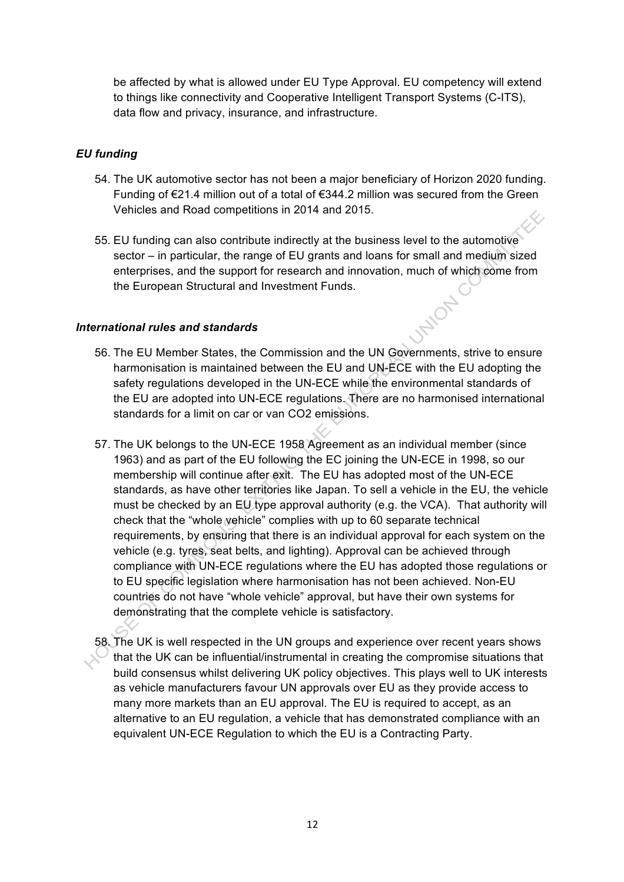be affected by what is allowed under EU Type Approval. EU competency will extend to things like connectivity and Cooperative Intelligent Transport Systems (C-ITS), data flow and privacy, insurance, and infrastructure.

## *EU funding*

- 54. The UK automotive sector has not been a major beneficiary of Horizon 2020 funding. Funding of €21.4 million out of a total of €344.2 million was secured from the Green Vehicles and Road competitions in 2014 and 2015.
- 55. EU funding can also contribute indirectly at the business level to the automotive sector – in particular, the range of EU grants and loans for small and medium sized enterprises, and the support for research and innovation, much of which come from the European Structural and Investment Funds. JFILOTY

## *International rules and standards*

- 56. The EU Member States, the Commission and the UN Governments, strive to ensure harmonisation is maintained between the EU and UN-ECE with the EU adopting the safety regulations developed in the UN-ECE while the environmental standards of the EU are adopted into UN-ECE regulations. There are no harmonised international standards for a limit on car or van CO2 emissions.
- 57. The UK belongs to the UN-ECE 1958 Agreement as an individual member (since 1963) and as part of the EU following the EC joining the UN-ECE in 1998, so our membership will continue after exit. The EU has adopted most of the UN-ECE standards, as have other territories like Japan. To sell a vehicle in the EU, the vehicle must be checked by an EU type approval authority (e.g. the VCA). That authority will check that the "whole vehicle" complies with up to 60 separate technical requirements, by ensuring that there is an individual approval for each system on the vehicle (e.g. tyres, seat belts, and lighting). Approval can be achieved through compliance with UN-ECE regulations where the EU has adopted those regulations or to EU specific legislation where harmonisation has not been achieved. Non-EU countries do not have "whole vehicle" approval, but have their own systems for demonstrating that the complete vehicle is satisfactory.
- 58. The UK is well respected in the UN groups and experience over recent years shows that the UK can be influential/instrumental in creating the compromise situations that build consensus whilst delivering UK policy objectives. This plays well to UK interests as vehicle manufacturers favour UN approvals over EU as they provide access to many more markets than an EU approval. The EU is required to accept, as an alternative to an EU regulation, a vehicle that has demonstrated compliance with an equivalent UN-ECE Regulation to which the EU is a Contracting Party.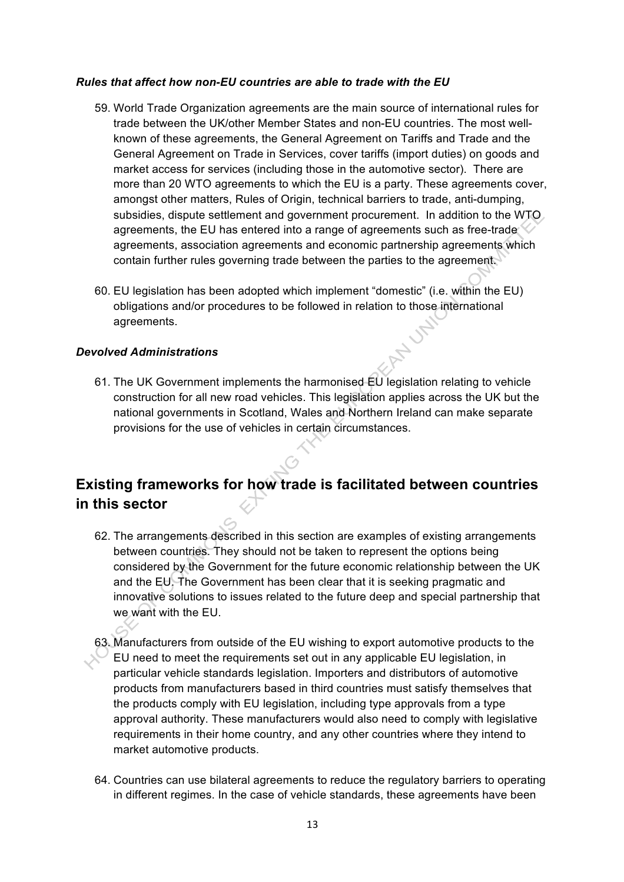#### *Rules that affect how non-EU countries are able to trade with the EU*

- 59. World Trade Organization agreements are the main source of international rules for trade between the UK/other Member States and non-EU countries. The most wellknown of these agreements, the General Agreement on Tariffs and Trade and the General Agreement on Trade in Services, cover tariffs (import duties) on goods and market access for services (including those in the automotive sector). There are more than 20 WTO agreements to which the EU is a party. These agreements cover, amongst other matters, Rules of Origin, technical barriers to trade, anti-dumping, subsidies, dispute settlement and government procurement. In addition to the WTO agreements, the EU has entered into a range of agreements such as free-trade. agreements, association agreements and economic partnership agreements which contain further rules governing trade between the parties to the agreement.
- 60. EU legislation has been adopted which implement "domestic" (i.e. within the EU) obligations and/or procedures to be followed in relation to those international agreements.

## *Devolved Administrations*

61. The UK Government implements the harmonised EU legislation relating to vehicle construction for all new road vehicles. This legislation applies across the UK but the national governments in Scotland, Wales and Northern Ireland can make separate provisions for the use of vehicles in certain circumstances.

## **Existing frameworks for how trade is facilitated between countries in this sector**

- 62. The arrangements described in this section are examples of existing arrangements between countries. They should not be taken to represent the options being considered by the Government for the future economic relationship between the UK and the EU. The Government has been clear that it is seeking pragmatic and innovative solutions to issues related to the future deep and special partnership that we want with the EU.
- 63. Manufacturers from outside of the EU wishing to export automotive products to the EU need to meet the requirements set out in any applicable EU legislation, in particular vehicle standards legislation. Importers and distributors of automotive products from manufacturers based in third countries must satisfy themselves that the products comply with EU legislation, including type approvals from a type approval authority. These manufacturers would also need to comply with legislative requirements in their home country, and any other countries where they intend to market automotive products.
- 64. Countries can use bilateral agreements to reduce the regulatory barriers to operating in different regimes. In the case of vehicle standards, these agreements have been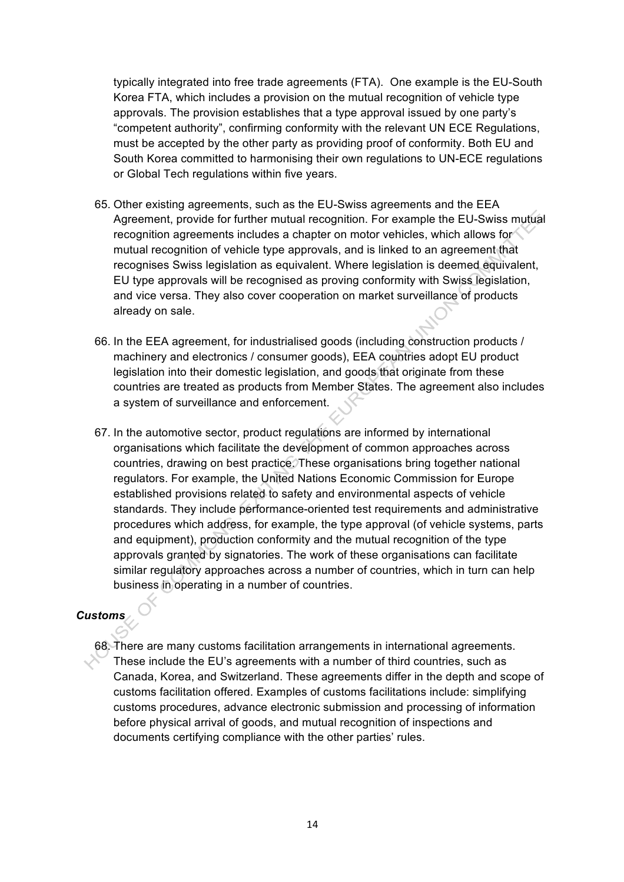typically integrated into free trade agreements (FTA). One example is the EU-South Korea FTA, which includes a provision on the mutual recognition of vehicle type approvals. The provision establishes that a type approval issued by one party's "competent authority", confirming conformity with the relevant UN ECE Regulations, must be accepted by the other party as providing proof of conformity. Both EU and South Korea committed to harmonising their own regulations to UN-ECE regulations or Global Tech regulations within five years.

- 65. Other existing agreements, such as the EU-Swiss agreements and the EEA Agreement, provide for further mutual recognition. For example the EU-Swiss mutual recognition agreements includes a chapter on motor vehicles, which allows for mutual recognition of vehicle type approvals, and is linked to an agreement that recognises Swiss legislation as equivalent. Where legislation is deemed equivalent, EU type approvals will be recognised as proving conformity with Swiss legislation, and vice versa. They also cover cooperation on market surveillance of products already on sale.
- 66. In the EEA agreement, for industrialised goods (including construction products / machinery and electronics / consumer goods), EEA countries adopt EU product legislation into their domestic legislation, and goods that originate from these countries are treated as products from Member States. The agreement also includes a system of surveillance and enforcement.
- 67. In the automotive sector, product regulations are informed by international organisations which facilitate the development of common approaches across countries, drawing on best practice. These organisations bring together national regulators. For example, the United Nations Economic Commission for Europe established provisions related to safety and environmental aspects of vehicle standards. They include performance-oriented test requirements and administrative procedures which address, for example, the type approval (of vehicle systems, parts and equipment), production conformity and the mutual recognition of the type approvals granted by signatories. The work of these organisations can facilitate similar regulatory approaches across a number of countries, which in turn can help business in operating in a number of countries.

## *Customs*

68. There are many customs facilitation arrangements in international agreements. These include the EU's agreements with a number of third countries, such as Canada, Korea, and Switzerland. These agreements differ in the depth and scope of customs facilitation offered. Examples of customs facilitations include: simplifying customs procedures, advance electronic submission and processing of information before physical arrival of goods, and mutual recognition of inspections and documents certifying compliance with the other parties' rules.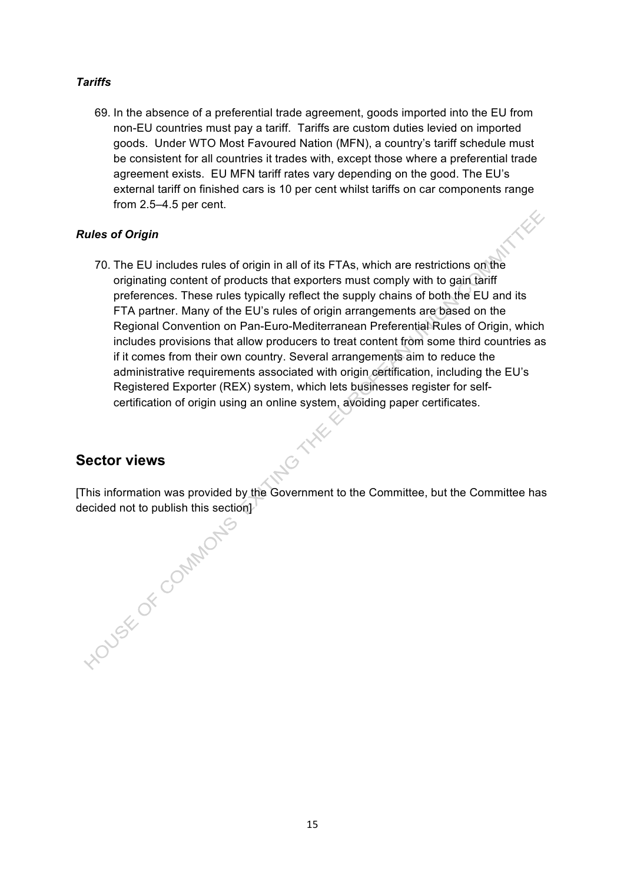## *Tariffs*

69. In the absence of a preferential trade agreement, goods imported into the EU from non-EU countries must pay a tariff. Tariffs are custom duties levied on imported goods. Under WTO Most Favoured Nation (MFN), a country's tariff schedule must be consistent for all countries it trades with, except those where a preferential trade agreement exists. EU MFN tariff rates vary depending on the good. The EU's external tariff on finished cars is 10 per cent whilst tariffs on car components range from 2.5–4.5 per cent. XX

## *Rules of Origin*

70. The EU includes rules of origin in all of its FTAs, which are restrictions on the originating content of products that exporters must comply with to gain tariff preferences. These rules typically reflect the supply chains of both the EU and its FTA partner. Many of the EU's rules of origin arrangements are based on the Regional Convention on Pan-Euro-Mediterranean Preferential Rules of Origin, which includes provisions that allow producers to treat content from some third countries as if it comes from their own country. Several arrangements aim to reduce the administrative requirements associated with origin certification, including the EU's Registered Exporter (REX) system, which lets businesses register for selfcertification of origin using an online system, avoiding paper certificates.

## **Sector views**

[This information was provided by the Government to the Committee, but the Committee has decided not to publish this section]

NO THE

15